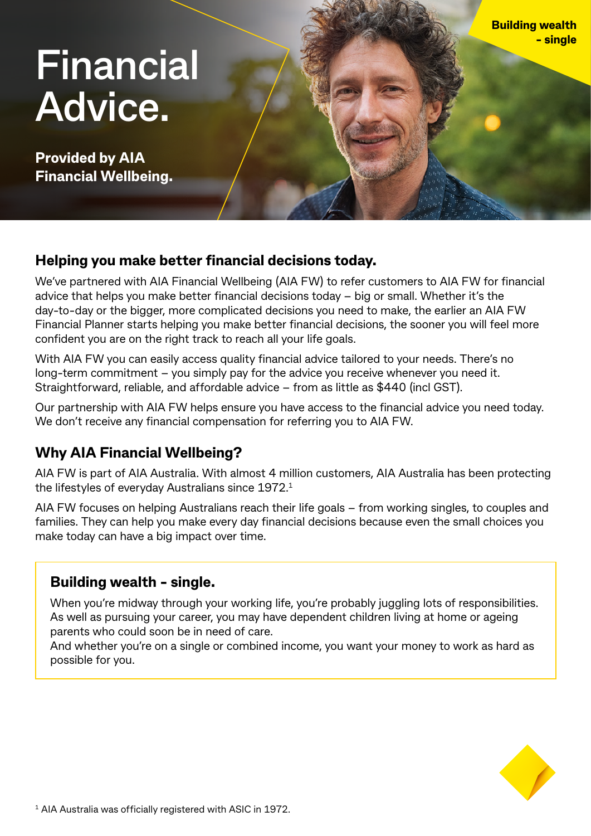# **Financial Advice.**

**Provided by AIA Financial Wellbeing.**

## **Helping you make better financial decisions today.**

We've partnered with AIA Financial Wellbeing (AIA FW) to refer customers to AIA FW for financial advice that helps you make better financial decisions today – big or small. Whether it's the day-to-day or the bigger, more complicated decisions you need to make, the earlier an AIA FW Financial Planner starts helping you make better financial decisions, the sooner you will feel more confident you are on the right track to reach all your life goals.

With AIA FW you can easily access quality financial advice tailored to your needs. There's no long-term commitment – you simply pay for the advice you receive whenever you need it. Straightforward, reliable, and affordable advice – from as little as \$440 (incl GST).

Our partnership with AIA FW helps ensure you have access to the financial advice you need today. We don't receive any financial compensation for referring you to AIA FW.

## **Why AIA Financial Wellbeing?**

AIA FW is part of AIA Australia. With almost 4 million customers, AIA Australia has been protecting the lifestyles of everyday Australians since 1972.1

AIA FW focuses on helping Australians reach their life goals – from working singles, to couples and families. They can help you make every day financial decisions because even the small choices you make today can have a big impact over time.

## **Building wealth - single.**

When you're midway through your working life, you're probably juggling lots of responsibilities. As well as pursuing your career, you may have dependent children living at home or ageing parents who could soon be in need of care.

And whether you're on a single or combined income, you want your money to work as hard as possible for you.



**Building wealth** 

**- single**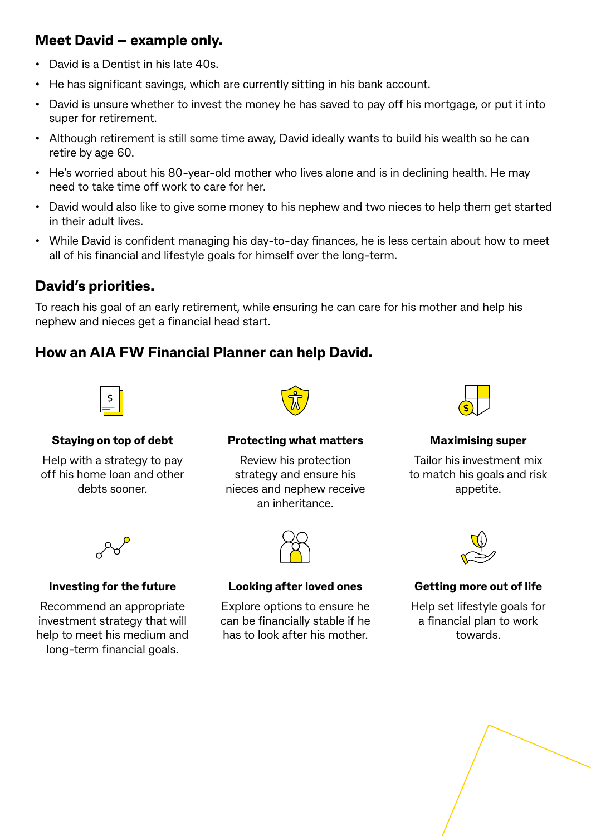## **Meet David – example only.**

- David is a Dentist in his late 40s.
- He has significant savings, which are currently sitting in his bank account.
- David is unsure whether to invest the money he has saved to pay off his mortgage, or put it into super for retirement.
- Although retirement is still some time away, David ideally wants to build his wealth so he can retire by age 60.
- He's worried about his 80-year-old mother who lives alone and is in declining health. He may need to take time off work to care for her.
- David would also like to give some money to his nephew and two nieces to help them get started in their adult lives.
- While David is confident managing his day-to-day finances, he is less certain about how to meet all of his financial and lifestyle goals for himself over the long-term.

## **David's priorities.**

To reach his goal of an early retirement, while ensuring he can care for his mother and help his nephew and nieces get a financial head start.

## **How an AIA FW Financial Planner can help David.**



### **Staying on top of debt**

Help with a strategy to pay off his home loan and other debts sooner.



#### **Protecting what matters**

Review his protection strategy and ensure his nieces and nephew receive an inheritance.



**Maximising super**

Tailor his investment mix to match his goals and risk appetite.



#### **Investing for the future**

Recommend an appropriate investment strategy that will help to meet his medium and long-term financial goals.



#### **Looking after loved ones**

Explore options to ensure he can be financially stable if he has to look after his mother.



### **Getting more out of life**

Help set lifestyle goals for a financial plan to work towards.